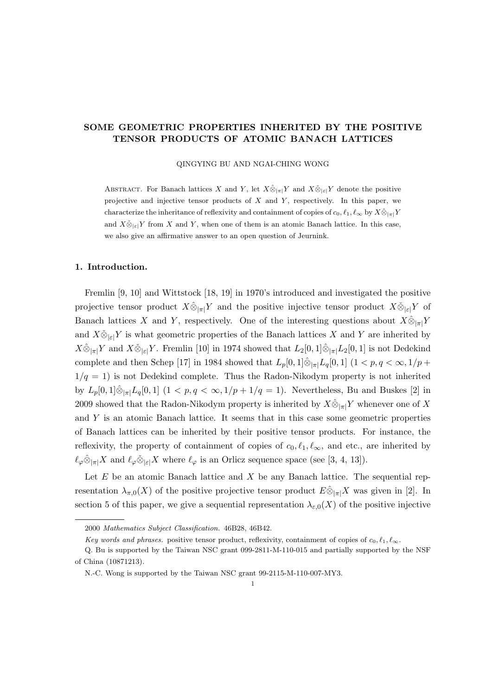# SOME GEOMETRIC PROPERTIES INHERITED BY THE POSITIVE TENSOR PRODUCTS OF ATOMIC BANACH LATTICES

QINGYING BU AND NGAI-CHING WONG

ABSTRACT. For Banach lattices X and Y, let  $X\hat{\otimes}_{|\pi|}Y$  and  $X\check{\otimes}_{|\varepsilon|}Y$  denote the positive projective and injective tensor products of  $X$  and  $Y$ , respectively. In this paper, we characterize the inheritance of reflexivity and containment of copies of  $c_0, \ell_1, \ell_\infty$  by  $X \hat{\otimes}_{|\pi|} Y$ and  $X\check{\otimes}_{|\varepsilon|}Y$  from X and Y, when one of them is an atomic Banach lattice. In this case, we also give an affirmative answer to an open question of Jeurnink.

## 1. Introduction.

Fremlin [9, 10] and Wittstock [18, 19] in 1970's introduced and investigated the positive projective tensor product  $X\hat{\otimes}_{|\pi|}Y$  and the positive injective tensor product  $X\check{\otimes}_{|\varepsilon|}Y$  of Banach lattices X and Y, respectively. One of the interesting questions about  $X\hat{\otimes}_{|\pi|}Y$ and  $X\check{\otimes}_{|\varepsilon|}Y$  is what geometric properties of the Banach lattices X and Y are inherited by  $X\hat{\otimes}_{|\pi|} Y$  and  $X\check{\otimes}_{|\varepsilon|} Y$ . Fremlin [10] in 1974 showed that  $L_2[0,1]\hat{\otimes}_{|\pi|} L_2[0,1]$  is not Dedekind complete and then Schep [17] in 1984 showed that  $L_p[0,1]\hat{\otimes}_{|\pi|}L_q[0,1]$  (1 < p,  $q < \infty, 1/p +$  $1/q = 1$ ) is not Dedekind complete. Thus the Radon-Nikodym property is not inherited by  $L_p[0,1]\hat{\otimes}_{|\pi|}L_q[0,1]$   $(1 < p, q < \infty, 1/p + 1/q = 1)$ . Nevertheless, Bu and Buskes [2] in 2009 showed that the Radon-Nikodym property is inherited by  $X\hat{\otimes}_{\vert \pi \vert} Y$  whenever one of X and Y is an atomic Banach lattice. It seems that in this case some geometric properties of Banach lattices can be inherited by their positive tensor products. For instance, the reflexivity, the property of containment of copies of  $c_0, \ell_1, \ell_\infty$ , and etc., are inherited by  $\ell_{\varphi}\hat{\otimes}_{|\pi|}X$  and  $\ell_{\varphi}\check{\otimes}_{|\varepsilon|}X$  where  $\ell_{\varphi}$  is an Orlicz sequence space (see [3, 4, 13]).

Let  $E$  be an atomic Banach lattice and  $X$  be any Banach lattice. The sequential representation  $\lambda_{\pi,0}(X)$  of the positive projective tensor product  $E \hat{\otimes}_{|\pi|} X$  was given in [2]. In section 5 of this paper, we give a sequential representation  $\lambda_{\varepsilon,0}(X)$  of the positive injective

<sup>2000</sup> Mathematics Subject Classification. 46B28, 46B42.

Key words and phrases. positive tensor product, reflexivity, containment of copies of  $c_0, \ell_1, \ell_\infty$ .

Q. Bu is supported by the Taiwan NSC grant 099-2811-M-110-015 and partially supported by the NSF of China (10871213).

N.-C. Wong is supported by the Taiwan NSC grant 99-2115-M-110-007-MY3.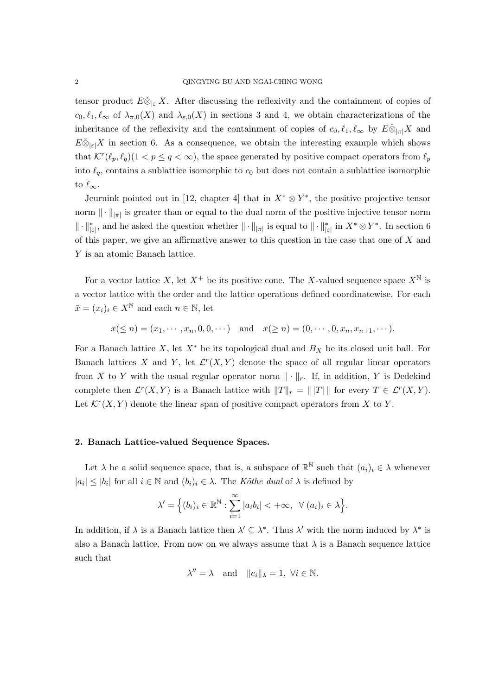tensor product  $E\check{\otimes}_{|\varepsilon|}X$ . After discussing the reflexivity and the containment of copies of  $c_0, \ell_1, \ell_\infty$  of  $\lambda_{\pi,0}(X)$  and  $\lambda_{\varepsilon,0}(X)$  in sections 3 and 4, we obtain characterizations of the inheritance of the reflexivity and the containment of copies of  $c_0, \ell_1, \ell_\infty$  by  $E \hat{\otimes}_{|\pi|} X$  and  $E\check{\otimes}_{\vert \varepsilon\vert}X$  in section 6. As a consequence, we obtain the interesting example which shows that  $\mathcal{K}^r(\ell_p, \ell_q)$  (1  $\leq p \leq q < \infty$ ), the space generated by positive compact operators from  $\ell_p$ into  $\ell_q$ , contains a sublattice isomorphic to  $c_0$  but does not contain a sublattice isomorphic to  $\ell_{\infty}$ .

Jeurnink pointed out in [12, chapter 4] that in  $X^* \otimes Y^*$ , the positive projective tensor norm  $\|\cdot\|_{\pi}$  is greater than or equal to the dual norm of the positive injective tensor norm  $\|\cdot\|_{|\varepsilon|}^*$ , and he asked the question whether  $\|\cdot\|_{|\pi|}$  is equal to  $\|\cdot\|_{|\varepsilon|}^*$  in  $X^* \otimes Y^*$ . In section 6 of this paper, we give an affirmative answer to this question in the case that one of  $X$  and Y is an atomic Banach lattice.

For a vector lattice X, let  $X^+$  be its positive cone. The X-valued sequence space  $X^{\mathbb{N}}$  is a vector lattice with the order and the lattice operations defined coordinatewise. For each  $\bar{x} = (x_i)_i \in X^{\mathbb{N}}$  and each  $n \in \mathbb{N}$ , let

 $\bar{x}(\leq n) = (x_1, \dots, x_n, 0, 0, \dots)$  and  $\bar{x}(\geq n) = (0, \dots, 0, x_n, x_{n+1}, \dots)$ .

For a Banach lattice X, let  $X^*$  be its topological dual and  $B_X$  be its closed unit ball. For Banach lattices X and Y, let  $\mathcal{L}^r(X,Y)$  denote the space of all regular linear operators from X to Y with the usual regular operator norm  $\|\cdot\|_r$ . If, in addition, Y is Dedekind complete then  $\mathcal{L}^r(X,Y)$  is a Banach lattice with  $||T||_r = ||T||$  for every  $T \in \mathcal{L}^r(X,Y)$ . Let  $\mathcal{K}^r(X, Y)$  denote the linear span of positive compact operators from X to Y.

### 2. Banach Lattice-valued Sequence Spaces.

Let  $\lambda$  be a solid sequence space, that is, a subspace of  $\mathbb{R}^{\mathbb{N}}$  such that  $(a_i)_i \in \lambda$  whenever  $|a_i| \leq |b_i|$  for all  $i \in \mathbb{N}$  and  $(b_i)_i \in \lambda$ . The Köthe dual of  $\lambda$  is defined by

$$
\lambda' = \Big\{ (b_i)_i \in \mathbb{R}^{\mathbb{N}} : \sum_{i=1}^{\infty} |a_i b_i| < +\infty, \ \forall (a_i)_i \in \lambda \Big\}.
$$

In addition, if  $\lambda$  is a Banach lattice then  $\lambda' \subseteq \lambda^*$ . Thus  $\lambda'$  with the norm induced by  $\lambda^*$  is also a Banach lattice. From now on we always assume that  $\lambda$  is a Banach sequence lattice such that

$$
\lambda'' = \lambda \quad \text{and} \quad ||e_i||_{\lambda} = 1, \ \forall i \in \mathbb{N}.
$$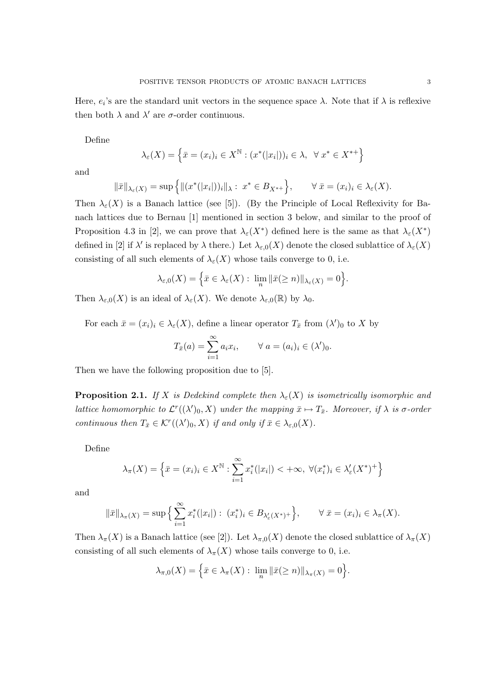Define

$$
\lambda_{\varepsilon}(X) = \left\{ \bar{x} = (x_i)_i \in X^{\mathbb{N}} : (x^*(|x_i|))_i \in \lambda, \ \forall \ x^* \in X^{**} \right\}
$$

and

$$
\|\bar{x}\|_{\lambda_{\varepsilon}(X)} = \sup\left\{\|(x^*(|x_i|))_i\|_{\lambda}: x^* \in B_{X^{*+}}\right\}, \qquad \forall \bar{x} = (x_i)_i \in \lambda_{\varepsilon}(X).
$$

Then  $\lambda_{\varepsilon}(X)$  is a Banach lattice (see [5]). (By the Principle of Local Reflexivity for Banach lattices due to Bernau [1] mentioned in section 3 below, and similar to the proof of Proposition 4.3 in [2], we can prove that  $\lambda_{\varepsilon}(X^*)$  defined here is the same as that  $\lambda_{\varepsilon}(X^*)$ defined in [2] if  $\lambda'$  is replaced by  $\lambda$  there.) Let  $\lambda_{\varepsilon,0}(X)$  denote the closed sublattice of  $\lambda_{\varepsilon}(X)$ consisting of all such elements of  $\lambda_{\varepsilon}(X)$  whose tails converge to 0, i.e.

$$
\lambda_{\varepsilon,0}(X) = \Big\{\bar{x} \in \lambda_{\varepsilon}(X) : \lim_{n} \|\bar{x}(\geq n)\|_{\lambda_{\varepsilon}(X)} = 0\Big\}.
$$

Then  $\lambda_{\varepsilon,0}(X)$  is an ideal of  $\lambda_{\varepsilon}(X)$ . We denote  $\lambda_{\varepsilon,0}(\mathbb{R})$  by  $\lambda_0$ .

For each  $\bar{x} = (x_i)_i \in \lambda_{\varepsilon}(X)$ , define a linear operator  $T_{\bar{x}}$  from  $(\lambda')_0$  to X by

$$
T_{\bar{x}}(a) = \sum_{i=1}^{\infty} a_i x_i, \qquad \forall \ a = (a_i)_i \in (\lambda')_0.
$$

Then we have the following proposition due to [5].

**Proposition 2.1.** If X is Dedekind complete then  $\lambda_{\varepsilon}(X)$  is isometrically isomorphic and lattice homomorphic to  $\mathcal{L}^r((\lambda')_0, X)$  under the mapping  $\bar{x} \mapsto T_{\bar{x}}$ . Moreover, if  $\lambda$  is  $\sigma$ -order continuous then  $T_{\bar{x}} \in \mathcal{K}^r((\lambda')_0, X)$  if and only if  $\bar{x} \in \lambda_{\varepsilon,0}(X)$ .

Define

$$
\lambda_{\pi}(X) = \left\{ \bar{x} = (x_i)_i \in X^{\mathbb{N}} : \sum_{i=1}^{\infty} x_i^*(|x_i|) < +\infty, \ \forall (x_i^*)_i \in \lambda_{\varepsilon}'(X^*)^+ \right\}
$$

and

$$
\|\bar{x}\|_{\lambda_{\pi}(X)} = \sup \Big\{ \sum_{i=1}^{\infty} x_i^*(|x_i|) : (x_i^*)_i \in B_{\lambda'_\varepsilon(X^*)^+} \Big\}, \qquad \forall \ \bar{x} = (x_i)_i \in \lambda_{\pi}(X).
$$

Then  $\lambda_{\pi}(X)$  is a Banach lattice (see [2]). Let  $\lambda_{\pi,0}(X)$  denote the closed sublattice of  $\lambda_{\pi}(X)$ consisting of all such elements of  $\lambda_{\pi}(X)$  whose tails converge to 0, i.e.

$$
\lambda_{\pi,0}(X) = \left\{ \bar{x} \in \lambda_{\pi}(X) : \lim_{n} \|\bar{x}(\geq n)\|_{\lambda_{\pi}(X)} = 0 \right\}.
$$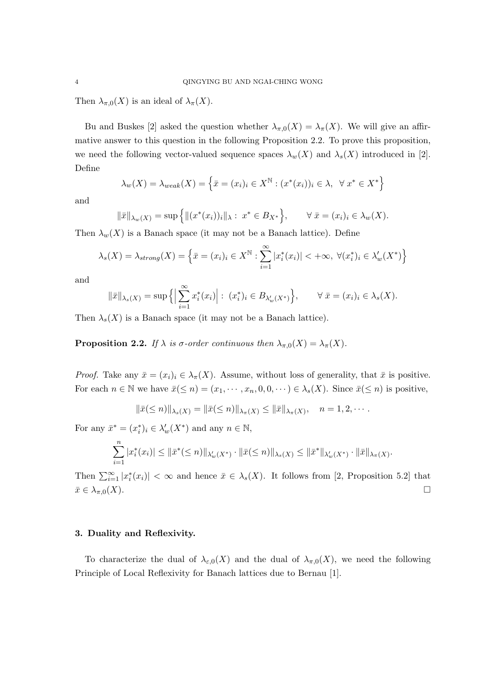Then  $\lambda_{\pi,0}(X)$  is an ideal of  $\lambda_{\pi}(X)$ .

Bu and Buskes [2] asked the question whether  $\lambda_{\pi,0}(X) = \lambda_{\pi}(X)$ . We will give an affirmative answer to this question in the following Proposition 2.2. To prove this proposition, we need the following vector-valued sequence spaces  $\lambda_w(X)$  and  $\lambda_s(X)$  introduced in [2]. Define

$$
\lambda_w(X) = \lambda_{weak}(X) = \left\{ \bar{x} = (x_i)_i \in X^{\mathbb{N}} : (x^*(x_i))_i \in \lambda, \ \forall \ x^* \in X^* \right\}
$$

and

$$
\|\bar{x}\|_{\lambda_w(X)} = \sup \{ \| (x^*(x_i))_i \|_{\lambda} : x^* \in B_{X^*} \}, \qquad \forall \bar{x} = (x_i)_i \in \lambda_w(X).
$$

Then  $\lambda_w(X)$  is a Banach space (it may not be a Banach lattice). Define

$$
\lambda_s(X) = \lambda_{strong}(X) = \left\{ \bar{x} = (x_i)_i \in X^{\mathbb{N}} : \sum_{i=1}^{\infty} |x_i^*(x_i)| < +\infty, \ \forall (x_i^*)_i \in \lambda'_w(X^*) \right\}
$$

and

$$
\|\bar{x}\|_{\lambda_s(X)} = \sup\left\{ \left|\sum_{i=1}^{\infty} x_i^*(x_i)\right| : (x_i^*)_i \in B_{\lambda'_w(X^*)}\right\}, \qquad \forall \bar{x} = (x_i)_i \in \lambda_s(X).
$$

Then  $\lambda_s(X)$  is a Banach space (it may not be a Banach lattice).

**Proposition 2.2.** If  $\lambda$  is  $\sigma$ -order continuous then  $\lambda_{\pi,0}(X) = \lambda_{\pi}(X)$ .

*Proof.* Take any  $\bar{x} = (x_i)_i \in \lambda_{\pi}(X)$ . Assume, without loss of generality, that  $\bar{x}$  is positive. For each  $n \in \mathbb{N}$  we have  $\bar{x}(\leq n) = (x_1, \dots, x_n, 0, 0, \dots) \in \lambda_s(X)$ . Since  $\bar{x}(\leq n)$  is positive,

$$
\|\bar{x}(\leq n)\|_{\lambda_s(X)} = \|\bar{x}(\leq n)\|_{\lambda_{\pi}(X)} \leq \|\bar{x}\|_{\lambda_{\pi}(X)}, \quad n = 1, 2, \cdots.
$$

For any  $\bar{x}^* = (x_i^*)_i \in \lambda_w'(X^*)$  and any  $n \in \mathbb{N}$ ,

$$
\sum_{i=1}^n |x_i^*(x_i)| \leq \|\bar{x}^*(\leq n)\|_{\lambda'_w(X^*)} \cdot \|\bar{x}(\leq n)\|_{\lambda_s(X)} \leq \|\bar{x}^*\|_{\lambda'_w(X^*)} \cdot \|\bar{x}\|_{\lambda_\pi(X)}.
$$

Then  $\sum_{i=1}^{\infty} |x_i^*(x_i)| < \infty$  and hence  $\bar{x} \in \lambda_s(X)$ . It follows from [2, Proposition 5.2] that  $\bar{x} \in \lambda_{\pi,0}(X).$ 

# 3. Duality and Reflexivity.

To characterize the dual of  $\lambda_{\varepsilon,0}(X)$  and the dual of  $\lambda_{\pi,0}(X)$ , we need the following Principle of Local Reflexivity for Banach lattices due to Bernau [1].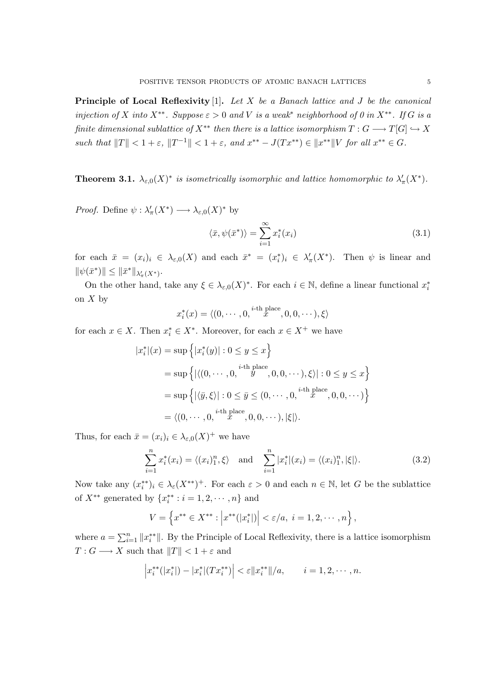**Principle of Local Reflexivity** [1]. Let  $X$  be a Banach lattice and  $J$  be the canonical injection of X into X<sup>\*\*</sup>. Suppose  $\varepsilon > 0$  and V is a weak<sup>\*</sup> neighborhood of 0 in X<sup>\*\*</sup>. If G is a finite dimensional sublattice of  $X^{**}$  then there is a lattice isomorphism  $T: G \longrightarrow T[G] \hookrightarrow X$ such that  $||T|| < 1 + \varepsilon$ ,  $||T^{-1}|| < 1 + \varepsilon$ , and  $x^{**} - J(Tx^{**}) \in ||x^{**}||V$  for all  $x^{**} \in G$ .

**Theorem 3.1.**  $\lambda_{\varepsilon,0}(X)^*$  is isometrically isomorphic and lattice homomorphic to  $\lambda'_{\pi}(X^*)$ .

*Proof.* Define  $\psi : \lambda'_{\pi}(X^*) \longrightarrow \lambda_{\varepsilon,0}(X)^*$  by

$$
\langle \bar{x}, \psi(\bar{x}^*) \rangle = \sum_{i=1}^{\infty} x_i^*(x_i)
$$
\n(3.1)

for each  $\bar{x} = (x_i)_i \in \lambda_{\varepsilon,0}(X)$  and each  $\bar{x}^* = (x_i^*)_i \in \lambda'_{\pi}(X^*)$ . Then  $\psi$  is linear and  $\|\psi(\bar{x}^*)\| \leq \|\bar{x}^*\|_{\lambda'_{\pi}(X^*)}.$ 

On the other hand, take any  $\xi \in \lambda_{\varepsilon,0}(X)^*$ . For each  $i \in \mathbb{N}$ , define a linear functional  $x_i^*$ on  $X$  by

$$
x_i^*(x) = \langle (0, \cdots, 0, \stackrel{i\text{-th place}}{x}, 0, 0, \cdots), \xi \rangle
$$

for each  $x \in X$ . Then  $x_i^* \in X^*$ . Moreover, for each  $x \in X^+$  we have

$$
|x_i^*|(x) = \sup \left\{ |x_i^*(y)| : 0 \le y \le x \right\}
$$
  
= 
$$
\sup \left\{ |\langle (0, \dots, 0, \stackrel{i\text{-th place}}{y}, 0, 0, \dots), \xi \rangle| : 0 \le y \le x \right\}
$$
  
= 
$$
\sup \left\{ |\langle \overline{y}, \xi \rangle| : 0 \le \overline{y} \le (0, \dots, 0, \stackrel{i\text{-th place}}{x}, 0, 0, \dots) \right\}
$$
  
= 
$$
\langle (0, \dots, 0, \stackrel{i\text{-th place}}{x}, 0, 0, \dots), |\xi| \rangle.
$$

Thus, for each  $\bar{x} = (x_i)_i \in \lambda_{\varepsilon,0}(X)^+$  we have

$$
\sum_{i=1}^{n} x_i^*(x_i) = \langle (x_i)_1^n, \xi \rangle \quad \text{and} \quad \sum_{i=1}^{n} |x_i^*|(x_i) = \langle (x_i)_1^n, |\xi| \rangle. \tag{3.2}
$$

Now take any  $(x_i^{**})_i \in \lambda_{\varepsilon}(X^{**})^+$ . For each  $\varepsilon > 0$  and each  $n \in \mathbb{N}$ , let G be the sublattice of  $X^{**}$  generated by  $\{x_i^{**} : i = 1, 2, \dots, n\}$  and

$$
V = \left\{ x^{**} \in X^{**} : \left| x^{**}(|x_i^*|) \right| < \varepsilon/a, \ i = 1, 2, \cdots, n \right\},\
$$

where  $a = \sum_{i=1}^{n} ||x_i^{**}||$ . By the Principle of Local Reflexivity, there is a lattice isomorphism  $T: G \longrightarrow X$  such that  $||T|| < 1 + \varepsilon$  and

$$
\left| x_i^{**}(|x_i^*|) - |x_i^*|(Tx_i^{**}) \right| < \varepsilon \| x_i^{**} \| / a, \qquad i = 1, 2, \cdots, n.
$$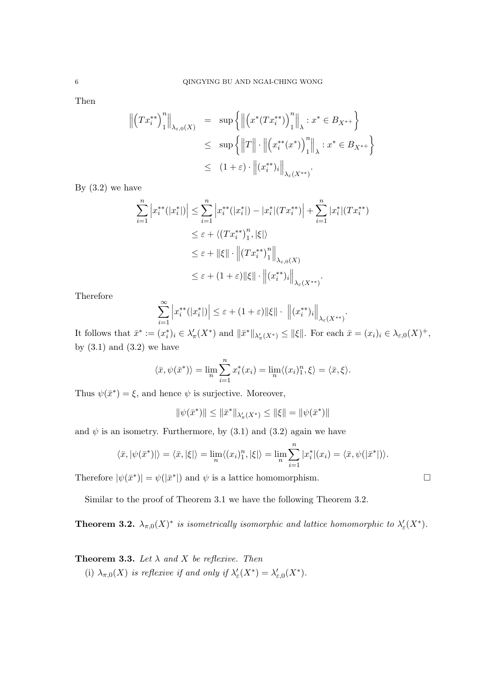Then

$$
\begin{aligned}\n\left\|\left(Tx_i^{**}\right)_1^n\right\|_{\lambda_{\varepsilon,0}(X)} &= \sup\left\{\left\|\left(x^*(Tx_i^{**})\right)_1^n\right\|_{\lambda}: x^* \in B_{X^{*+}}\right\} \\
&\leq \sup\left\{\left\|T\right\| \cdot \left\|\left(x_i^{**}(x^*)\right)_1^n\right\|_{\lambda}: x^* \in B_{X^{*+}}\right\} \\
&\leq (1+\varepsilon) \cdot \left\|(x_i^{**})_i\right\|_{\lambda_{\varepsilon}(X^{**)}}.\n\end{aligned}
$$

By  $(3.2)$  we have

$$
\sum_{i=1}^{n} \left| x_{i}^{**}(|x_{i}^{*}|) \right| \leq \sum_{i=1}^{n} \left| x_{i}^{**}(|x_{i}^{*}|) - |x_{i}^{*}|(Tx_{i}^{**}) \right| + \sum_{i=1}^{n} |x_{i}^{*}|(Tx_{i}^{**})
$$
\n
$$
\leq \varepsilon + \langle (Tx_{i}^{**})_{1}^{n}, |\xi| \rangle
$$
\n
$$
\leq \varepsilon + ||\xi|| \cdot \left\| (Tx_{i}^{**})_{1}^{n} \right\|_{\lambda_{\varepsilon,0}(X)}
$$
\n
$$
\leq \varepsilon + (1 + \varepsilon) ||\xi|| \cdot \left\| (x_{i}^{**})_{i} \right\|_{\lambda_{\varepsilon}(X^{**})}.
$$

Therefore

$$
\sum_{i=1}^{\infty} \left| x_i^{**}(|x_i^*|) \right| \leq \varepsilon + (1+\varepsilon) \|\xi\| \cdot \left\| (x_i^{**})_i \right\|_{\lambda_{\varepsilon}(X^{**})}.
$$

It follows that  $\bar{x}^* := (x_i^*)_i \in \lambda'_\pi(X^*)$  and  $\|\bar{x}^*\|_{\lambda'_\pi(X^*)} \leq \|\xi\|$ . For each  $\bar{x} = (x_i)_i \in \lambda_{\varepsilon,0}(X)^+$ , by  $(3.1)$  and  $(3.2)$  we have

$$
\langle \bar{x}, \psi(\bar{x}^*) \rangle = \lim_{n} \sum_{i=1}^{n} x_i^*(x_i) = \lim_{n} \langle (x_i)_1^n, \xi \rangle = \langle \bar{x}, \xi \rangle.
$$

Thus  $\psi(\bar{x}^*) = \xi$ , and hence  $\psi$  is surjective. Moreover,

$$
\|\psi(\bar{x}^*)\| \le \|\bar{x}^*\|_{\lambda_\pi'(X^*)} \le \|\xi\| = \|\psi(\bar{x}^*)\|
$$

and  $\psi$  is an isometry. Furthermore, by (3.1) and (3.2) again we have

$$
\langle \bar{x}, |\psi(\bar{x}^*)| \rangle = \langle \bar{x}, |\xi| \rangle = \lim_{n} \langle (x_i)_1^n, |\xi| \rangle = \lim_{n} \sum_{i=1}^n |x_i^*|(x_i) = \langle \bar{x}, \psi(|\bar{x}^*|) \rangle.
$$

Therefore  $|\psi(\bar{x}^*)| = \psi(|\bar{x}^*|)$  and  $\psi$  is a lattice homomorphism.

Similar to the proof of Theorem 3.1 we have the following Theorem 3.2.

**Theorem 3.2.**  $\lambda_{\pi,0}(X)^*$  is isometrically isomorphic and lattice homomorphic to  $\lambda_{\varepsilon}'(X^*)$ .

**Theorem 3.3.** Let  $\lambda$  and  $X$  be reflexive. Then

(i)  $\lambda_{\pi,0}(X)$  is reflexive if and only if  $\lambda_{\varepsilon}'(X^*) = \lambda_{\varepsilon,0}'(X^*)$ .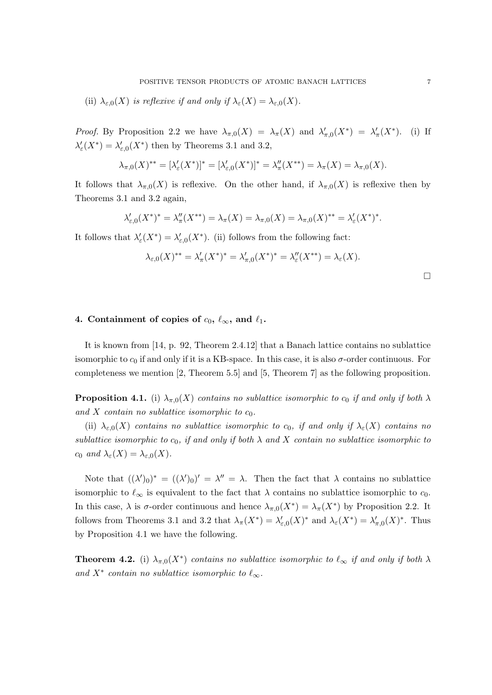(ii)  $\lambda_{\varepsilon,0}(X)$  is reflexive if and only if  $\lambda_{\varepsilon}(X) = \lambda_{\varepsilon,0}(X)$ .

*Proof.* By Proposition 2.2 we have  $\lambda_{\pi,0}(X) = \lambda_{\pi}(X)$  and  $\lambda'_{\pi,0}(X^*) = \lambda'_{\pi}(X^*)$ . (i) If  $\lambda_{\varepsilon}'(X^*) = \lambda_{\varepsilon,0}'(X^*)$  then by Theorems 3.1 and 3.2,

$$
\lambda_{\pi,0}(X)^{**} = [\lambda_{\varepsilon}'(X^*)]^* = [\lambda_{\varepsilon,0}'(X^*)]^* = \lambda_{\pi}''(X^{**}) = \lambda_{\pi}(X) = \lambda_{\pi,0}(X).
$$

It follows that  $\lambda_{\pi,0}(X)$  is reflexive. On the other hand, if  $\lambda_{\pi,0}(X)$  is reflexive then by Theorems 3.1 and 3.2 again,

$$
\lambda'_{\varepsilon,0}(X^*)^* = \lambda''_{\pi}(X^{**}) = \lambda_{\pi}(X) = \lambda_{\pi,0}(X) = \lambda_{\pi,0}(X)^{**} = \lambda'_{\varepsilon}(X^*)^*.
$$

It follows that  $\lambda'_{\varepsilon}(X^*) = \lambda'_{\varepsilon,0}(X^*)$ . (ii) follows from the following fact:

$$
\lambda_{\varepsilon,0}(X)^{**} = \lambda'_{\pi}(X^*)^* = \lambda'_{\pi,0}(X^*)^* = \lambda''_{\varepsilon}(X^{**}) = \lambda_{\varepsilon}(X).
$$

 $\Box$ 

# 4. Containment of copies of  $c_0$ ,  $\ell_{\infty}$ , and  $\ell_1$ .

It is known from [14, p. 92, Theorem 2.4.12] that a Banach lattice contains no sublattice isomorphic to  $c_0$  if and only if it is a KB-space. In this case, it is also  $\sigma$ -order continuous. For completeness we mention [2, Theorem 5.5] and [5, Theorem 7] as the following proposition.

**Proposition 4.1.** (i)  $\lambda_{\pi,0}(X)$  contains no sublattice isomorphic to  $c_0$  if and only if both  $\lambda$ and X contain no sublattice isomorphic to  $c_0$ .

(ii)  $\lambda_{\varepsilon,0}(X)$  contains no sublattice isomorphic to  $c_0$ , if and only if  $\lambda_{\varepsilon}(X)$  contains no sublattice isomorphic to  $c_0$ , if and only if both  $\lambda$  and  $X$  contain no sublattice isomorphic to  $c_0$  and  $\lambda_{\varepsilon}(X) = \lambda_{\varepsilon,0}(X)$ .

Note that  $((\lambda')_0)^* = ((\lambda')_0)' = \lambda'' = \lambda$ . Then the fact that  $\lambda$  contains no sublattice isomorphic to  $\ell_{\infty}$  is equivalent to the fact that  $\lambda$  contains no sublattice isomorphic to  $c_0$ . In this case,  $\lambda$  is  $\sigma$ -order continuous and hence  $\lambda_{\pi,0}(X^*) = \lambda_{\pi}(X^*)$  by Proposition 2.2. It follows from Theorems 3.1 and 3.2 that  $\lambda_{\pi}(X^*) = \lambda_{\varepsilon,0}^{\prime}(X)^*$  and  $\lambda_{\varepsilon}(X^*) = \lambda_{\pi,0}^{\prime}(X)^*$ . Thus by Proposition 4.1 we have the following.

**Theorem 4.2.** (i)  $\lambda_{\pi,0}(X^*)$  contains no sublattice isomorphic to  $\ell_{\infty}$  if and only if both  $\lambda$ and  $X^*$  contain no sublattice isomorphic to  $\ell_{\infty}$ .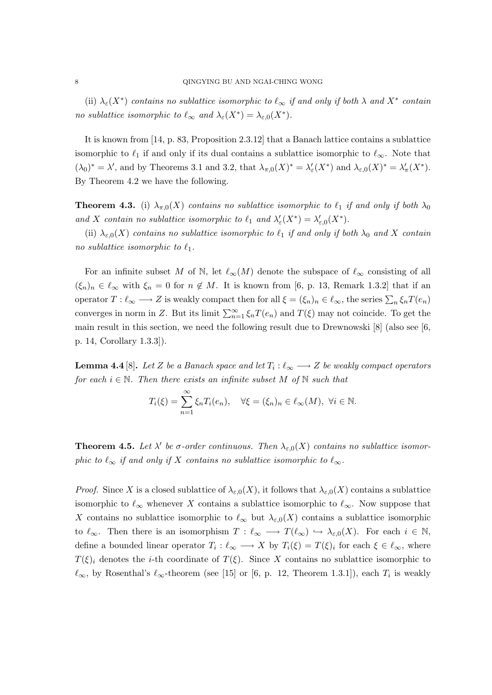(ii)  $\lambda_{\varepsilon}(X^*)$  contains no sublattice isomorphic to  $\ell_{\infty}$  if and only if both  $\lambda$  and  $X^*$  contain no sublattice isomorphic to  $\ell_{\infty}$  and  $\lambda_{\varepsilon}(X^*) = \lambda_{\varepsilon,0}(X^*)$ .

It is known from [14, p. 83, Proposition 2.3.12] that a Banach lattice contains a sublattice isomorphic to  $\ell_1$  if and only if its dual contains a sublattice isomorphic to  $\ell_{\infty}$ . Note that  $(\lambda_0)^* = \lambda'$ , and by Theorems 3.1 and 3.2, that  $\lambda_{\pi,0}(X)^* = \lambda'_\varepsilon(X^*)$  and  $\lambda_{\varepsilon,0}(X)^* = \lambda'_\pi(X^*)$ . By Theorem 4.2 we have the following.

**Theorem 4.3.** (i)  $\lambda_{\pi,0}(X)$  contains no sublattice isomorphic to  $\ell_1$  if and only if both  $\lambda_0$ and X contain no sublattice isomorphic to  $\ell_1$  and  $\lambda'_\varepsilon(X^*) = \lambda'_{\varepsilon,0}(X^*)$ .

(ii)  $\lambda_{\varepsilon,0}(X)$  contains no sublattice isomorphic to  $\ell_1$  if and only if both  $\lambda_0$  and X contain no sublattice isomorphic to  $\ell_1$ .

For an infinite subset M of N, let  $\ell_{\infty}(M)$  denote the subspace of  $\ell_{\infty}$  consisting of all  $(\xi_n)_n \in \ell_\infty$  with  $\xi_n = 0$  for  $n \notin M$ . It is known from [6, p. 13, Remark 1.3.2] that if an operator  $T : \ell_\infty \longrightarrow Z$  is weakly compact then for all  $\xi = (\xi_n)_n \in \ell_\infty$ , the series  $\sum_n \xi_n T(e_n)$ converges in norm in Z. But its limit  $\sum_{n=1}^{\infty} \xi_n T(e_n)$  and  $T(\xi)$  may not coincide. To get the main result in this section, we need the following result due to Drewnowski [8] (also see [6, p. 14, Corollary 1.3.3]).

**Lemma 4.4** [8]. Let Z be a Banach space and let  $T_i : \ell_{\infty} \longrightarrow Z$  be weakly compact operators for each  $i \in \mathbb{N}$ . Then there exists an infinite subset M of  $\mathbb{N}$  such that

$$
T_i(\xi) = \sum_{n=1}^{\infty} \xi_n T_i(e_n), \quad \forall \xi = (\xi_n)_n \in \ell_\infty(M), \ \forall i \in \mathbb{N}.
$$

**Theorem 4.5.** Let  $\lambda'$  be  $\sigma$ -order continuous. Then  $\lambda_{\varepsilon,0}(X)$  contains no sublattice isomorphic to  $\ell_{\infty}$  if and only if X contains no sublattice isomorphic to  $\ell_{\infty}$ .

*Proof.* Since X is a closed sublattice of  $\lambda_{\varepsilon,0}(X)$ , it follows that  $\lambda_{\varepsilon,0}(X)$  contains a sublattice isomorphic to  $\ell_{\infty}$  whenever X contains a sublattice isomorphic to  $\ell_{\infty}$ . Now suppose that X contains no sublattice isomorphic to  $\ell_{\infty}$  but  $\lambda_{\epsilon,0}(X)$  contains a sublattice isomorphic to  $\ell_{\infty}$ . Then there is an isomorphism  $T : \ell_{\infty} \longrightarrow T(\ell_{\infty}) \hookrightarrow \lambda_{\varepsilon,0}(X)$ . For each  $i \in \mathbb{N}$ , define a bounded linear operator  $T_i : \ell_\infty \longrightarrow X$  by  $T_i(\xi) = T(\xi)_i$  for each  $\xi \in \ell_\infty$ , where  $T(\xi)_i$  denotes the *i*-th coordinate of  $T(\xi)$ . Since X contains no sublattice isomorphic to  $\ell_{\infty}$ , by Rosenthal's  $\ell_{\infty}$ -theorem (see [15] or [6, p. 12, Theorem 1.3.1]), each  $T_i$  is weakly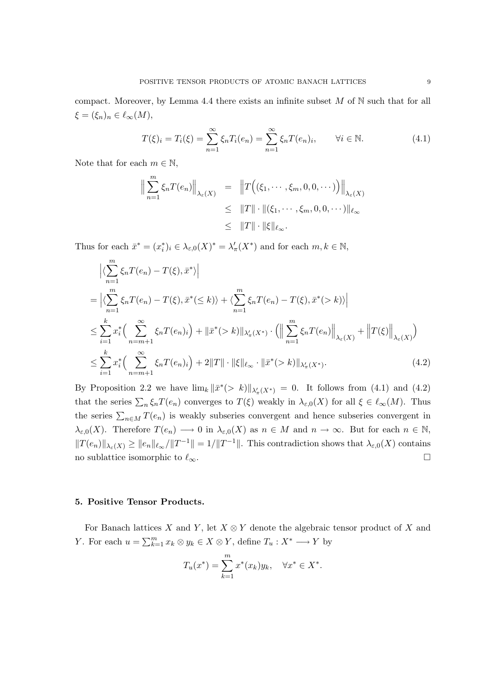compact. Moreover, by Lemma 4.4 there exists an infinite subset  $M$  of  $\mathbb N$  such that for all  $\xi = (\xi_n)_n \in \ell_\infty(M),$ 

$$
T(\xi)_i = T_i(\xi) = \sum_{n=1}^{\infty} \xi_n T_i(e_n) = \sum_{n=1}^{\infty} \xi_n T(e_n)_i, \qquad \forall i \in \mathbb{N}.
$$
 (4.1)

Note that for each  $m \in \mathbb{N}$ ,

$$
\left\| \sum_{n=1}^{m} \xi_n T(e_n) \right\|_{\lambda_{\varepsilon}(X)} = \left\| T\Big((\xi_1, \dots, \xi_m, 0, 0, \dots)\Big) \right\|_{\lambda_{\varepsilon}(X)}
$$
  
\n
$$
\leq \|T\| \cdot \|(\xi_1, \dots, \xi_m, 0, 0, \dots)\|_{\ell_{\infty}}
$$
  
\n
$$
\leq \|T\| \cdot \|\xi\|_{\ell_{\infty}}.
$$

Thus for each  $\bar{x}^* = (x_i^*)_i \in \lambda_{\varepsilon,0}(X)^* = \lambda_\pi'(X^*)$  and for each  $m, k \in \mathbb{N}$ ,

$$
\left| \langle \sum_{n=1}^{m} \xi_n T(e_n) - T(\xi), \bar{x}^* \rangle \right|
$$
  
\n
$$
= \left| \langle \sum_{n=1}^{m} \xi_n T(e_n) - T(\xi), \bar{x}^* (\le k) \rangle + \langle \sum_{n=1}^{m} \xi_n T(e_n) - T(\xi), \bar{x}^* (> k) \rangle \right|
$$
  
\n
$$
\le \sum_{i=1}^{k} x_i^* \Big( \sum_{n=m+1}^{\infty} \xi_n T(e_n)_i \Big) + \left\| \bar{x}^* (> k) \right\|_{\lambda'_\pi(X^*)} \cdot \Big( \left\| \sum_{n=1}^{m} \xi_n T(e_n) \right\|_{\lambda_\varepsilon(X)} + \left\| T(\xi) \right\|_{\lambda_\varepsilon(X)} \Big)
$$
  
\n
$$
\le \sum_{i=1}^{k} x_i^* \Big( \sum_{n=m+1}^{\infty} \xi_n T(e_n)_i \Big) + 2\|T\| \cdot \|\xi\|_{\ell_\infty} \cdot \|\bar{x}^* (> k) \|\chi_{\pi'(X^*)}.
$$
 (4.2)

By Proposition 2.2 we have  $\lim_k ||\bar{x}^*(>k)||_{\lambda'_{\pi}(X^*)} = 0$ . It follows from (4.1) and (4.2) that the series  $\sum_n \xi_n T(e_n)$  converges to  $T(\xi)$  weakly in  $\lambda_{\varepsilon,0}(X)$  for all  $\xi \in \ell_\infty(M)$ . Thus the series  $\sum_{n\in M} T(e_n)$  is weakly subseries convergent and hence subseries convergent in  $\lambda_{\varepsilon,0}(X)$ . Therefore  $T(e_n) \longrightarrow 0$  in  $\lambda_{\varepsilon,0}(X)$  as  $n \in M$  and  $n \to \infty$ . But for each  $n \in \mathbb{N}$ ,  $||T(e_n)||_{\lambda_{\varepsilon}(X)} \ge ||e_n||_{\ell_{\infty}}/||T^{-1}|| = 1/||T^{-1}||$ . This contradiction shows that  $\lambda_{\varepsilon,0}(X)$  contains no sublattice isomorphic to  $\ell_{\infty}$ .

## 5. Positive Tensor Products.

For Banach lattices X and Y, let  $X \otimes Y$  denote the algebraic tensor product of X and Y. For each  $u = \sum_{k=1}^m x_k \otimes y_k \in X \otimes Y$ , define  $T_u : X^* \longrightarrow Y$  by

$$
T_u(x^*) = \sum_{k=1}^m x^*(x_k) y_k, \quad \forall x^* \in X^*.
$$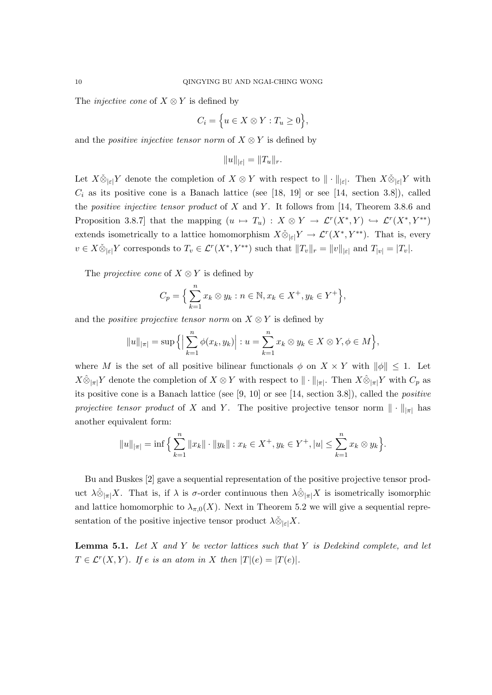The *injective cone* of  $X \otimes Y$  is defined by

$$
C_i = \Big\{ u \in X \otimes Y : T_u \ge 0 \Big\},\
$$

and the *positive injective tensor norm* of  $X \otimes Y$  is defined by

$$
||u||_{|\varepsilon|} = ||T_u||_r.
$$

Let  $X\check{\otimes}_{|\varepsilon|} Y$  denote the completion of  $X\otimes Y$  with respect to  $\|\cdot\|_{|\varepsilon|}$ . Then  $X\check{\otimes}_{|\varepsilon|} Y$  with  $C_i$  as its positive cone is a Banach lattice (see [18, 19] or see [14, section 3.8]), called the *positive injective tensor product* of X and Y. It follows from [14, Theorem 3.8.6 and Proposition 3.8.7] that the mapping  $(u \mapsto T_u) : X \otimes Y \to \mathcal{L}^r(X^*,Y) \hookrightarrow \mathcal{L}^r(X^*,Y^{**})$ extends isometrically to a lattice homomorphism  $X\check{\otimes}_{|\varepsilon|} Y \to \mathcal{L}^r(X^*, Y^{**})$ . That is, every  $v \in X \check{\otimes}_{|\varepsilon|} Y$  corresponds to  $T_v \in \mathcal{L}^r(X^*, Y^{**})$  such that  $||T_v||_r = ||v||_{|\varepsilon|}$  and  $T_{|v|} = |T_v|$ .

The *projective cone* of  $X \otimes Y$  is defined by

$$
C_p = \Big\{\sum_{k=1}^n x_k \otimes y_k : n \in \mathbb{N}, x_k \in X^+, y_k \in Y^+ \Big\},\
$$

and the *positive projective tensor norm* on  $X \otimes Y$  is defined by

$$
||u||_{|\pi|} = \sup \Big\{ \Big| \sum_{k=1}^{n} \phi(x_k, y_k) \Big| : u = \sum_{k=1}^{n} x_k \otimes y_k \in X \otimes Y, \phi \in M \Big\},\
$$

where M is the set of all positive bilinear functionals  $\phi$  on  $X \times Y$  with  $\|\phi\| \leq 1$ . Let  $X\hat{\otimes}_{|\pi|} Y$  denote the completion of  $X \otimes Y$  with respect to  $\|\cdot\|_{|\pi|}$ . Then  $X\hat{\otimes}_{|\pi|} Y$  with  $C_p$  as its positive cone is a Banach lattice (see [9, 10] or see [14, section 3.8]), called the positive projective tensor product of X and Y. The positive projective tensor norm  $\|\cdot\|_{\pi}$  has another equivalent form:

$$
||u||_{|\pi|} = \inf \Big\{ \sum_{k=1}^n ||x_k|| \cdot ||y_k|| : x_k \in X^+, y_k \in Y^+, |u| \le \sum_{k=1}^n x_k \otimes y_k \Big\}.
$$

Bu and Buskes [2] gave a sequential representation of the positive projective tensor product  $\lambda \hat{\otimes}_{\vert \pi \vert} X$ . That is, if  $\lambda$  is  $\sigma$ -order continuous then  $\lambda \hat{\otimes}_{\vert \pi \vert} X$  is isometrically isomorphic and lattice homomorphic to  $\lambda_{\pi,0}(X)$ . Next in Theorem 5.2 we will give a sequential representation of the positive injective tensor product  $\lambda \check{\otimes}_{\vert \varepsilon\vert} X$ .

**Lemma 5.1.** Let  $X$  and  $Y$  be vector lattices such that  $Y$  is Dedekind complete, and let  $T \in \mathcal{L}^r(X, Y)$ . If e is an atom in X then  $|T|(e) = |T(e)|$ .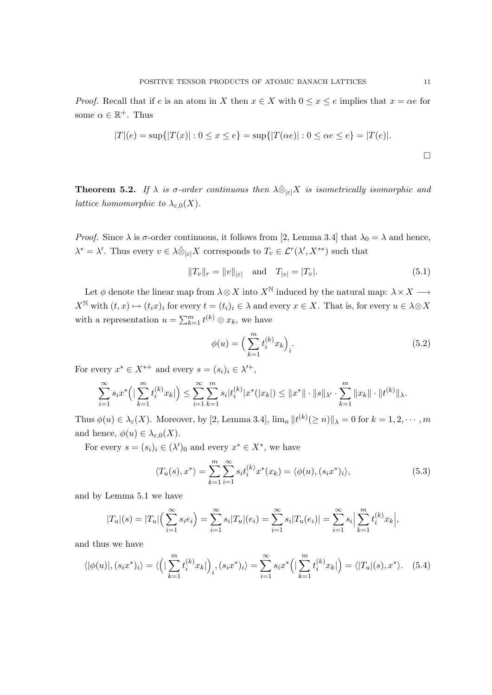*Proof.* Recall that if e is an atom in X then  $x \in X$  with  $0 \le x \le e$  implies that  $x = \alpha e$  for some  $\alpha \in \mathbb{R}^+$ . Thus

$$
|T|(e) = \sup\{|T(x)| : 0 \le x \le e\} = \sup\{|T(\alpha e)| : 0 \le \alpha e \le e\} = |T(e)|.
$$

**Theorem 5.2.** If  $\lambda$  is  $\sigma$ -order continuous then  $\lambda \check{\otimes}_{|\varepsilon|} X$  is isometrically isomorphic and *lattice homomorphic to*  $\lambda_{\varepsilon,0}(X)$ .

*Proof.* Since  $\lambda$  is  $\sigma$ -order continuous, it follows from [2, Lemma 3.4] that  $\lambda_0 = \lambda$  and hence,  $\lambda^* = \lambda'$ . Thus every  $v \in \lambda \check{\otimes}_{|\varepsilon|} X$  corresponds to  $T_v \in \mathcal{L}^r(\lambda', X^{**})$  such that

$$
||T_v||_r = ||v||_{|\varepsilon|} \quad \text{and} \quad T_{|v|} = |T_v|.
$$
 (5.1)

Let  $\phi$  denote the linear map from  $\lambda \otimes X$  into  $X^{\mathbb{N}}$  induced by the natural map:  $\lambda \times X \longrightarrow$  $X^{\mathbb{N}}$  with  $(t, x) \mapsto (t_i x)_i$  for every  $t = (t_i)_i \in \lambda$  and every  $x \in X$ . That is, for every  $u \in \lambda \otimes X$ with a representation  $u = \sum_{k=1}^{m} t^{(k)} \otimes x_k$ , we have

$$
\phi(u) = \left(\sum_{k=1}^{m} t_i^{(k)} x_k\right)_i.
$$
\n(5.2)

For every  $x^* \in X^{*+}$  and every  $s = (s_i)_i \in \lambda'^+$ ,

$$
\sum_{i=1}^{\infty} s_i x^* \left( \left| \sum_{k=1}^m t_i^{(k)} x_k \right| \right) \leq \sum_{i=1}^{\infty} \sum_{k=1}^m s_i |t_i^{(k)} | x^* (|x_k|) \leq ||x^*|| \cdot ||s||_{\lambda'} \cdot \sum_{k=1}^m ||x_k|| \cdot ||t^{(k)}||_{\lambda}.
$$

Thus  $\phi(u) \in \lambda_{\varepsilon}(X)$ . Moreover, by [2, Lemma 3.4],  $\lim_{n} ||t^{(k)}(\ge n)||_{\lambda} = 0$  for  $k = 1, 2, \cdots, m$ and hence,  $\phi(u) \in \lambda_{\varepsilon,0}(X)$ .

For every  $s = (s_i)_i \in (\lambda')_0$  and every  $x^* \in X^*$ , we have

$$
\langle T_u(s), x^* \rangle = \sum_{k=1}^m \sum_{i=1}^\infty s_i t_i^{(k)} x^*(x_k) = \langle \phi(u), (s_i x^*)_i \rangle,\tag{5.3}
$$

and by Lemma 5.1 we have

$$
|T_u|(s) = |T_u|\left(\sum_{i=1}^{\infty} s_i e_i\right) = \sum_{i=1}^{\infty} s_i |T_u|(e_i) = \sum_{i=1}^{\infty} s_i |T_u(e_i)| = \sum_{i=1}^{\infty} s_i \left| \sum_{k=1}^{m} t_i^{(k)} x_k \right|,
$$

and thus we have

$$
\langle |\phi(u)|, (s_i x^*)_i \rangle = \langle \left( \left| \sum_{k=1}^m t_i^{(k)} x_k \right| \right)_i, (s_i x^*)_i \rangle = \sum_{i=1}^\infty s_i x^* \left( \left| \sum_{k=1}^m t_i^{(k)} x_k \right| \right) = \langle |T_u|(s), x^* \rangle. \tag{5.4}
$$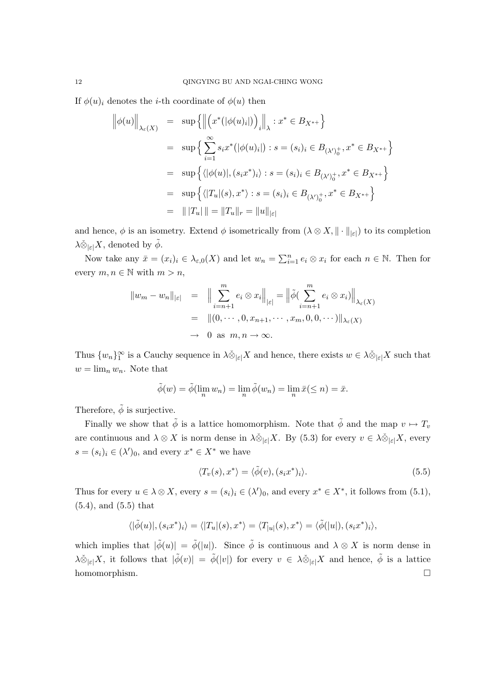If  $\phi(u)_i$  denotes the *i*-th coordinate of  $\phi(u)$  then

$$
\left\|\phi(u)\right\|_{\lambda_{\varepsilon}(X)} = \sup \left\{ \left\|\left(x^*(|\phi(u)_i|\right)\right)_i\right\|_{\lambda} : x^* \in B_{X^{*+}} \right\}
$$
  
\n
$$
= \sup \left\{\sum_{i=1}^{\infty} s_i x^*(|\phi(u)_i|) : s = (s_i)_i \in B_{(\lambda')_0^+}, x^* \in B_{X^{*+}} \right\}
$$
  
\n
$$
= \sup \left\{\langle|\phi(u)|, (s_i x^*)_i\rangle : s = (s_i)_i \in B_{(\lambda')_0^+}, x^* \in B_{X^{*+}} \right\}
$$
  
\n
$$
= \sup \left\{\langle|T_u|(s), x^*\rangle : s = (s_i)_i \in B_{(\lambda')_0^+}, x^* \in B_{X^{*+}} \right\}
$$
  
\n
$$
= \left\| |T_u| \right\| = \|T_u\|_r = \|u\|_{|\varepsilon|}
$$

and hence,  $\phi$  is an isometry. Extend  $\phi$  isometrically from  $(\lambda \otimes X, \|\cdot\|_{|\varepsilon|})$  to its completion  $\lambda \check{\otimes}_{|\varepsilon|} X$ , denoted by  $\tilde{\phi}$ .

Now take any  $\bar{x} = (x_i)_i \in \lambda_{\varepsilon,0}(X)$  and let  $w_n = \sum_{i=1}^n e_i \otimes x_i$  for each  $n \in \mathbb{N}$ . Then for every  $m, n \in \mathbb{N}$  with  $m > n$ ,

$$
||w_m - w_n||_{|\varepsilon|} = \left\| \sum_{i=n+1}^m e_i \otimes x_i \right\|_{|\varepsilon|} = \left\| \tilde{\phi} \left( \sum_{i=n+1}^m e_i \otimes x_i \right) \right\|_{\lambda_{\varepsilon}(X)}
$$
  

$$
= ||(0, \cdots, 0, x_{n+1}, \cdots, x_m, 0, 0, \cdots) ||_{\lambda_{\varepsilon}(X)}
$$
  

$$
\to 0 \text{ as } m, n \to \infty.
$$

Thus  $\{w_n\}_1^{\infty}$  is a Cauchy sequence in  $\lambda \check{\otimes}_{|\varepsilon|} X$  and hence, there exists  $w \in \lambda \check{\otimes}_{|\varepsilon|} X$  such that  $w = \lim_n w_n$ . Note that

$$
\tilde{\phi}(w) = \tilde{\phi}(\lim_{n} w_n) = \lim_{n} \tilde{\phi}(w_n) = \lim_{n} \bar{x}(\leq n) = \bar{x}.
$$

Therefore,  $\tilde{\phi}$  is surjective.

Finally we show that  $\tilde{\phi}$  is a lattice homomorphism. Note that  $\tilde{\phi}$  and the map  $v \mapsto T_v$ are continuous and  $\lambda \otimes X$  is norm dense in  $\lambda \check{\otimes}_{|\varepsilon|} X$ . By (5.3) for every  $v \in \lambda \check{\otimes}_{|\varepsilon|} X$ , every  $s = (s_i)_i \in (\lambda')_0$ , and every  $x^* \in X^*$  we have

$$
\langle T_v(s), x^* \rangle = \langle \tilde{\phi}(v), (s_i x^*)_i \rangle. \tag{5.5}
$$

Thus for every  $u \in \lambda \otimes X$ , every  $s = (s_i)_i \in (\lambda')_0$ , and every  $x^* \in X^*$ , it follows from  $(5.1)$ , (5.4), and (5.5) that

$$
\langle |\tilde{\phi}(u)|, (s_i x^*)_i \rangle = \langle |T_u|(s), x^* \rangle = \langle T_{|u|}(s), x^* \rangle = \langle \tilde{\phi}(|u|), (s_i x^*)_i \rangle,
$$

which implies that  $|\tilde{\phi}(u)| = \tilde{\phi}(|u|)$ . Since  $\tilde{\phi}$  is continuous and  $\lambda \otimes X$  is norm dense in  $\lambda \check{\otimes}_{|\varepsilon|}X$ , it follows that  $|\tilde{\phi}(v)| = \tilde{\phi}(|v|)$  for every  $v \in \lambda \check{\otimes}_{|\varepsilon|}X$  and hence,  $\tilde{\phi}$  is a lattice homomorphism.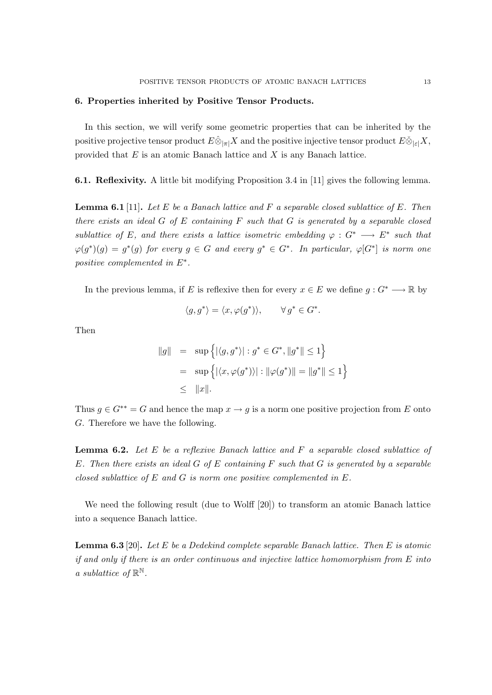#### 6. Properties inherited by Positive Tensor Products.

In this section, we will verify some geometric properties that can be inherited by the positive projective tensor product  $E\hat{\otimes}_{\vert \pi \vert} X$  and the positive injective tensor product  $E\check{\otimes}_{\vert \pi \vert} X$ , provided that  $E$  is an atomic Banach lattice and  $X$  is any Banach lattice.

6.1. Reflexivity. A little bit modifying Proposition 3.4 in [11] gives the following lemma.

**Lemma 6.1** [11]. Let E be a Banach lattice and F a separable closed sublattice of E. Then there exists an ideal  $G$  of  $E$  containing  $F$  such that  $G$  is generated by a separable closed sublattice of E, and there exists a lattice isometric embedding  $\varphi : G^* \longrightarrow E^*$  such that  $\varphi(g^*)(g) = g^*(g)$  for every  $g \in G$  and every  $g^* \in G^*$ . In particular,  $\varphi[G^*]$  is norm one positive complemented in  $E^*$ .

In the previous lemma, if E is reflexive then for every  $x \in E$  we define  $q: G^* \longrightarrow \mathbb{R}$  by

$$
\langle g, g^* \rangle = \langle x, \varphi(g^*) \rangle, \qquad \forall g^* \in G^*.
$$

Then

$$
||g|| = \sup \{ |\langle g, g^* \rangle| : g^* \in G^*, ||g^*|| \le 1 \}
$$
  
=  $\sup \{ |\langle x, \varphi(g^*) \rangle| : ||\varphi(g^*)|| = ||g^*|| \le 1 \}$   
 $\le ||x||.$ 

Thus  $g \in G^{**} = G$  and hence the map  $x \to g$  is a norm one positive projection from E onto G. Therefore we have the following.

**Lemma 6.2.** Let  $E$  be a reflexive Banach lattice and  $F$  a separable closed sublattice of E. Then there exists an ideal  $G$  of  $E$  containing  $F$  such that  $G$  is generated by a separable closed sublattice of  $E$  and  $G$  is norm one positive complemented in  $E$ .

We need the following result (due to Wolff [20]) to transform an atomic Banach lattice into a sequence Banach lattice.

**Lemma 6.3** [20]. Let E be a Dedekind complete separable Banach lattice. Then E is atomic if and only if there is an order continuous and injective lattice homomorphism from E into a sublattice of  $\mathbb{R}^{\mathbb{N}}$ .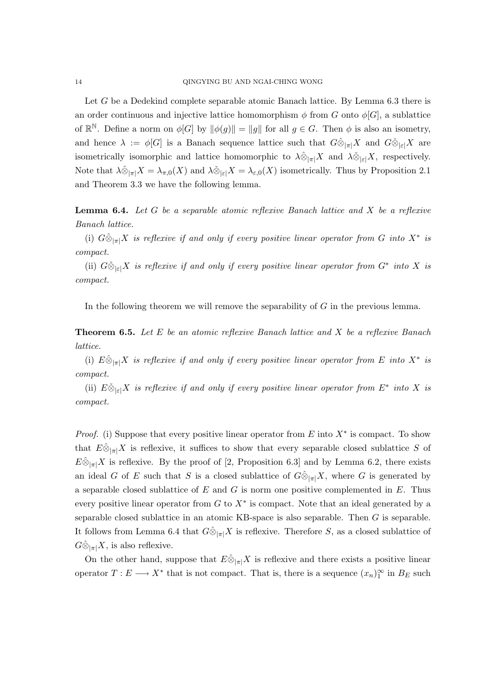Let G be a Dedekind complete separable atomic Banach lattice. By Lemma 6.3 there is an order continuous and injective lattice homomorphism  $\phi$  from G onto  $\phi[G]$ , a sublattice of  $\mathbb{R}^{\mathbb{N}}$ . Define a norm on  $\phi[G]$  by  $\|\phi(g)\| = \|g\|$  for all  $g \in G$ . Then  $\phi$  is also an isometry, and hence  $\lambda := \phi[G]$  is a Banach sequence lattice such that  $G \hat{\otimes}_{|\pi|} X$  and  $G \check{\otimes}_{|\varepsilon|} X$  are isometrically isomorphic and lattice homomorphic to  $\lambda \hat{\otimes}_{\vert \pi \vert} X$  and  $\lambda \check{\otimes}_{\vert \varepsilon \vert} X$ , respectively. Note that  $\lambda \hat{\otimes}_{|\pi|} X = \lambda_{\pi,0}(X)$  and  $\lambda \check{\otimes}_{|\varepsilon|} X = \lambda_{\varepsilon,0}(X)$  isometrically. Thus by Proposition 2.1 and Theorem 3.3 we have the following lemma.

**Lemma 6.4.** Let G be a separable atomic reflexive Banach lattice and X be a reflexive Banach lattice.

(i)  $G \hat{\otimes}_{|\pi|} X$  is reflexive if and only if every positive linear operator from G into  $X^*$  is compact.

(ii)  $G\check{\otimes}_{|\varepsilon|}X$  is reflexive if and only if every positive linear operator from  $G^*$  into X is compact.

In the following theorem we will remove the separability of G in the previous lemma.

**Theorem 6.5.** Let  $E$  be an atomic reflexive Banach lattice and  $X$  be a reflexive Banach lattice.

(i)  $E \hat{\otimes}_{|\pi|} X$  is reflexive if and only if every positive linear operator from E into  $X^*$  is compact.

(ii)  $E \check{\otimes}_{|\varepsilon|} X$  is reflexive if and only if every positive linear operator from  $E^*$  into X is compact.

*Proof.* (i) Suppose that every positive linear operator from  $E$  into  $X^*$  is compact. To show that  $E\hat{\otimes}_{\vert \pi \vert} X$  is reflexive, it suffices to show that every separable closed sublattice S of  $E\hat{\otimes}_{|\pi|}X$  is reflexive. By the proof of [2, Proposition 6.3] and by Lemma 6.2, there exists an ideal G of E such that S is a closed sublattice of  $G\hat{\otimes}_{\vert \pi \vert}X$ , where G is generated by a separable closed sublattice of  $E$  and  $G$  is norm one positive complemented in  $E$ . Thus every positive linear operator from  $G$  to  $X^*$  is compact. Note that an ideal generated by a separable closed sublattice in an atomic KB-space is also separable. Then G is separable. It follows from Lemma 6.4 that  $G\hat{\otimes}_{|\pi|}X$  is reflexive. Therefore S, as a closed sublattice of  $G\hat{\otimes}_{|\pi|}X$ , is also reflexive.

On the other hand, suppose that  $E\hat{\otimes}_{\vert \pi \vert} X$  is reflexive and there exists a positive linear operator  $T: E \longrightarrow X^*$  that is not compact. That is, there is a sequence  $(x_n)_1^{\infty}$  in  $B_E$  such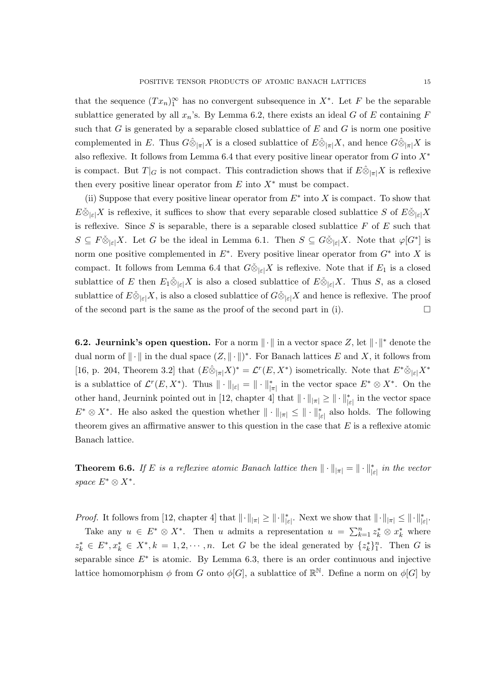that the sequence  $(Tx_n)_1^{\infty}$  has no convergent subsequence in  $X^*$ . Let F be the separable sublattice generated by all  $x_n$ 's. By Lemma 6.2, there exists an ideal G of E containing F such that G is generated by a separable closed sublattice of  $E$  and  $G$  is norm one positive complemented in E. Thus  $G\hat{\otimes}_{|\pi|}X$  is a closed sublattice of  $E\hat{\otimes}_{|\pi|}X$ , and hence  $G\hat{\otimes}_{|\pi|}X$  is also reflexive. It follows from Lemma 6.4 that every positive linear operator from  $G$  into  $X^*$ is compact. But  $T|_G$  is not compact. This contradiction shows that if  $E\hat{\otimes}_{|\pi|}X$  is reflexive then every positive linear operator from  $E$  into  $X^*$  must be compact.

(ii) Suppose that every positive linear operator from  $E^*$  into X is compact. To show that  $E\check{\otimes}_{\vert \varepsilon\vert}X$  is reflexive, it suffices to show that every separable closed sublattice S of  $E\check{\otimes}_{\vert \varepsilon\vert}X$ is reflexive. Since  $S$  is separable, there is a separable closed sublattice  $F$  of  $E$  such that  $S \subseteq F \check{\otimes}_{|\varepsilon|} X$ . Let G be the ideal in Lemma 6.1. Then  $S \subseteq G \check{\otimes}_{|\varepsilon|} X$ . Note that  $\varphi[G^*]$  is norm one positive complemented in  $E^*$ . Every positive linear operator from  $G^*$  into X is compact. It follows from Lemma 6.4 that  $G\check{\otimes}_{|\varepsilon|}X$  is reflexive. Note that if  $E_1$  is a closed sublattice of E then  $E_1 \check{\otimes}_{|\varepsilon|} X$  is also a closed sublattice of  $E \check{\otimes}_{|\varepsilon|} X$ . Thus S, as a closed sublattice of  $E\check{\otimes}_{\lvert \varepsilon\rvert}X$ , is also a closed sublattice of  $G\check{\otimes}_{\lvert \varepsilon\rvert}X$  and hence is reflexive. The proof of the second part is the same as the proof of the second part in (i).  $\Box$ 

**6.2. Jeurnink's open question.** For a norm  $\|\cdot\|$  in a vector space Z, let  $\|\cdot\|$ <sup>\*</sup> denote the dual norm of  $\|\cdot\|$  in the dual space  $(Z, \|\cdot\|)^*$ . For Banach lattices E and X, it follows from [16, p. 204, Theorem 3.2] that  $(E \hat{\otimes}_{|\pi|} X)^* = \mathcal{L}^r(E, X^*)$  isometrically. Note that  $E^* \check{\otimes}_{|\varepsilon|} X^*$ is a sublattice of  $\mathcal{L}^r(E, X^*)$ . Thus  $\|\cdot\|_{\epsilon} = \|\cdot\|_{\pi}^*$  in the vector space  $E^* \otimes X^*$ . On the other hand, Jeurnink pointed out in [12, chapter 4] that  $\|\cdot\|_{\pi} \geq \|\cdot\|_{\varepsilon}^*$  in the vector space  $E^* \otimes X^*$ . He also asked the question whether  $\|\cdot\|_{\pi} \leq \|\cdot\|_{\epsilon}^*$  also holds. The following theorem gives an affirmative answer to this question in the case that  $E$  is a reflexive atomic Banach lattice.

**Theorem 6.6.** If E is a reflexive atomic Banach lattice then  $\|\cdot\|_{\pi} = \|\cdot\|_{\epsilon}^*$  in the vector space  $E^* \otimes X^*$ .

*Proof.* It follows from [12, chapter 4] that  $\|\cdot\|_{|\pi|} \ge \|\cdot\|_{|\varepsilon|}^*$ . Next we show that  $\|\cdot\|_{|\pi|} \le \|\cdot\|_{|\varepsilon|}^*$ .

Take any  $u \in E^* \otimes X^*$ . Then u admits a representation  $u = \sum_{k=1}^n z_k^* \otimes x_k^*$  where  $z_k^* \in E^*, x_k^* \in X^*, k = 1, 2, \cdots, n$ . Let G be the ideal generated by  $\{z_k^*\}_{1}^n$ . Then G is separable since  $E^*$  is atomic. By Lemma 6.3, there is an order continuous and injective lattice homomorphism  $\phi$  from G onto  $\phi[G]$ , a sublattice of  $\mathbb{R}^{\mathbb{N}}$ . Define a norm on  $\phi[G]$  by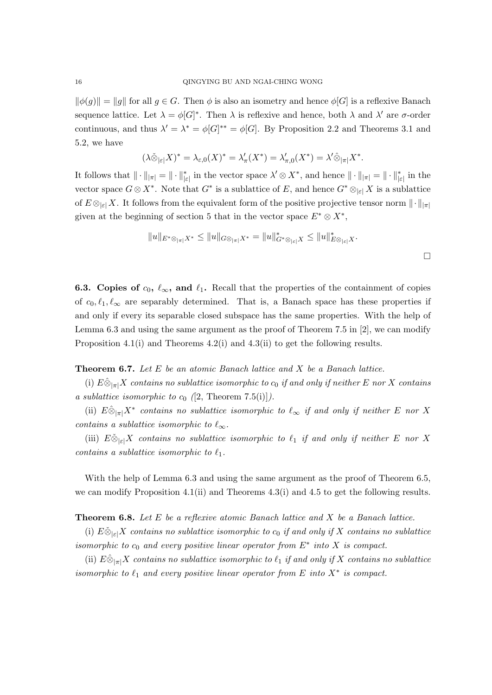$\|\phi(g)\| = \|g\|$  for all  $g \in G$ . Then  $\phi$  is also an isometry and hence  $\phi[G]$  is a reflexive Banach sequence lattice. Let  $\lambda = \phi[G]^*$ . Then  $\lambda$  is reflexive and hence, both  $\lambda$  and  $\lambda'$  are  $\sigma$ -order continuous, and thus  $\lambda' = \lambda^* = \phi[G]^{**} = \phi[G]$ . By Proposition 2.2 and Theorems 3.1 and 5.2, we have

$$
(\lambda \check{\otimes}_{|\varepsilon|} X)^* = \lambda_{\varepsilon,0}(X)^* = \lambda_\pi'(X^*) = \lambda_{\pi,0}'(X^*) = \lambda' \hat{\otimes}_{|\pi|} X^*.
$$

It follows that  $\|\cdot\|_{|\pi|} = \|\cdot\|_{|\varepsilon|}^*$  in the vector space  $\lambda' \otimes X^*$ , and hence  $\|\cdot\|_{|\pi|} = \|\cdot\|_{|\varepsilon|}^*$  in the vector space  $G \otimes X^*$ . Note that  $G^*$  is a sublattice of E, and hence  $G^* \otimes_{|\varepsilon|} X$  is a sublattice of  $E \otimes_{|\varepsilon|} X$ . It follows from the equivalent form of the positive projective tensor norm  $\|\cdot\|_{|\pi|}$ given at the beginning of section 5 that in the vector space  $E^* \otimes X^*$ ,

$$
||u||_{E^*\otimes_{|\pi|}X^*} \le ||u||_{G\otimes_{|\pi|}X^*} = ||u||_{G^*\otimes_{|\varepsilon|}X}^* \le ||u||_{E\otimes_{|\varepsilon|}X}^*.
$$

**6.3.** Copies of  $c_0$ ,  $\ell_{\infty}$ , and  $\ell_1$ . Recall that the properties of the containment of copies of  $c_0, \ell_1, \ell_\infty$  are separably determined. That is, a Banach space has these properties if and only if every its separable closed subspace has the same properties. With the help of Lemma 6.3 and using the same argument as the proof of Theorem 7.5 in [2], we can modify Proposition 4.1(i) and Theorems 4.2(i) and 4.3(ii) to get the following results.

## **Theorem 6.7.** Let  $E$  be an atomic Banach lattice and  $X$  be a Banach lattice.

(i)  $E \hat{\otimes}_{\vert \pi \vert} X$  contains no sublattice isomorphic to  $c_0$  if and only if neither E nor X contains a sublattice isomorphic to  $c_0$  ([2, Theorem 7.5(i)]).

(ii)  $E \hat{\otimes}_{|\pi|} X^*$  contains no sublattice isomorphic to  $\ell_{\infty}$  if and only if neither E nor X contains a sublattice isomorphic to  $\ell_{\infty}$ .

(iii)  $E \check{\otimes}_{\vert \varepsilon\vert} X$  contains no sublattice isomorphic to  $\ell_1$  if and only if neither E nor X contains a sublattice isomorphic to  $\ell_1$ .

With the help of Lemma 6.3 and using the same argument as the proof of Theorem 6.5, we can modify Proposition 4.1(ii) and Theorems 4.3(i) and 4.5 to get the following results.

**Theorem 6.8.** Let  $E$  be a reflexive atomic Banach lattice and  $X$  be a Banach lattice.

(i)  $E \check{\otimes}_{\geq \infty} X$  contains no sublattice isomorphic to  $c_0$  if and only if X contains no sublattice isomorphic to  $c_0$  and every positive linear operator from  $E^*$  into X is compact.

(ii)  $E \hat{\otimes}_{|\pi|} X$  contains no sublattice isomorphic to  $\ell_1$  if and only if X contains no sublattice isomorphic to  $\ell_1$  and every positive linear operator from E into  $X^*$  is compact.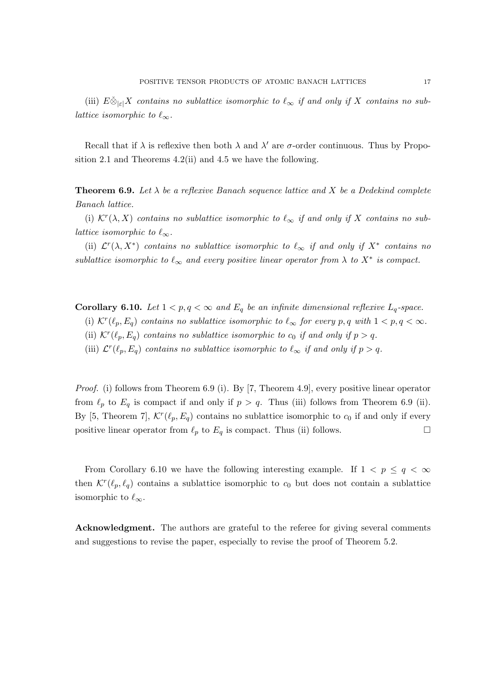(iii)  $E \&_{\vert \varepsilon \vert} X$  contains no sublattice isomorphic to  $\ell_{\infty}$  if and only if X contains no sublattice isomorphic to  $\ell_{\infty}$ .

Recall that if  $\lambda$  is reflexive then both  $\lambda$  and  $\lambda'$  are  $\sigma$ -order continuous. Thus by Proposition 2.1 and Theorems 4.2(ii) and 4.5 we have the following.

**Theorem 6.9.** Let  $\lambda$  be a reflexive Banach sequence lattice and X be a Dedekind complete Banach lattice.

(i)  $\mathcal{K}^r(\lambda, X)$  contains no sublattice isomorphic to  $\ell_{\infty}$  if and only if X contains no sublattice isomorphic to  $\ell_{\infty}$ .

(ii)  $\mathcal{L}^r(\lambda, X^*)$  contains no sublattice isomorphic to  $\ell_\infty$  if and only if  $X^*$  contains no sublattice isomorphic to  $\ell_{\infty}$  and every positive linear operator from  $\lambda$  to  $X^*$  is compact.

Corollary 6.10. Let  $1 < p, q < \infty$  and  $E_q$  be an infinite dimensional reflexive  $L_q$ -space.

(i)  $\mathcal{K}^r(\ell_p, E_q)$  contains no sublattice isomorphic to  $\ell_{\infty}$  for every p, q with  $1 < p, q < \infty$ .

(ii)  $\mathcal{K}^r(\ell_p, E_q)$  contains no sublattice isomorphic to  $c_0$  if and only if  $p > q$ .

(iii)  $\mathcal{L}^r(\ell_p, E_q)$  contains no sublattice isomorphic to  $\ell_{\infty}$  if and only if  $p > q$ .

Proof. (i) follows from Theorem 6.9 (i). By [7, Theorem 4.9], every positive linear operator from  $\ell_p$  to  $E_q$  is compact if and only if  $p > q$ . Thus (iii) follows from Theorem 6.9 (ii). By [5, Theorem 7],  $\mathcal{K}^r(\ell_p, E_q)$  contains no sublattice isomorphic to  $c_0$  if and only if every positive linear operator from  $\ell_p$  to  $E_q$  is compact. Thus (ii) follows.

From Corollary 6.10 we have the following interesting example. If  $1 < p \leq q < \infty$ then  $\mathcal{K}^r(\ell_p, \ell_q)$  contains a sublattice isomorphic to  $c_0$  but does not contain a sublattice isomorphic to  $\ell_{\infty}$ .

Acknowledgment. The authors are grateful to the referee for giving several comments and suggestions to revise the paper, especially to revise the proof of Theorem 5.2.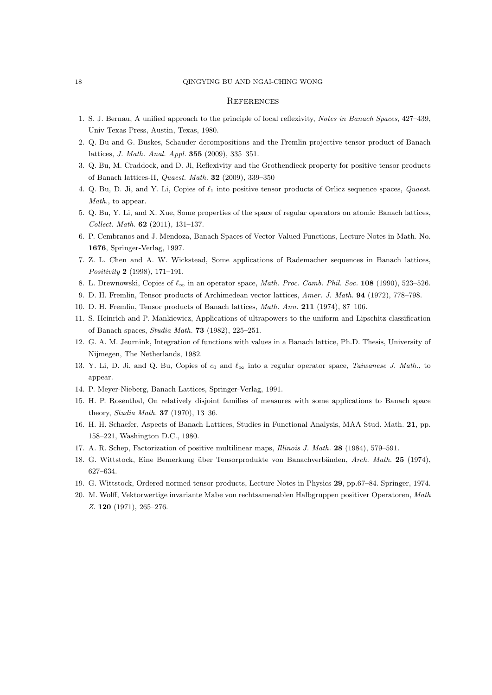#### 18 QINGYING BU AND NGAI-CHING WONG

#### **REFERENCES**

- 1. S. J. Bernau, A unified approach to the principle of local reflexivity, Notes in Banach Spaces, 427–439, Univ Texas Press, Austin, Texas, 1980.
- 2. Q. Bu and G. Buskes, Schauder decompositions and the Fremlin projective tensor product of Banach lattices, J. Math. Anal. Appl. 355 (2009), 335–351.
- 3. Q. Bu, M. Craddock, and D. Ji, Reflexivity and the Grothendieck property for positive tensor products of Banach lattices-II, Quaest. Math. 32 (2009), 339–350
- 4. Q. Bu, D. Ji, and Y. Li, Copies of  $\ell_1$  into positive tensor products of Orlicz sequence spaces, Quaest. Math., to appear.
- 5. Q. Bu, Y. Li, and X. Xue, Some properties of the space of regular operators on atomic Banach lattices, Collect. Math. 62 (2011), 131–137.
- 6. P. Cembranos and J. Mendoza, Banach Spaces of Vector-Valued Functions, Lecture Notes in Math. No. 1676, Springer-Verlag, 1997.
- 7. Z. L. Chen and A. W. Wickstead, Some applications of Rademacher sequences in Banach lattices, Positivity 2 (1998), 171–191.
- 8. L. Drewnowski, Copies of  $\ell_{\infty}$  in an operator space, Math. Proc. Camb. Phil. Soc. 108 (1990), 523–526.
- 9. D. H. Fremlin, Tensor products of Archimedean vector lattices, Amer. J. Math. 94 (1972), 778–798.
- 10. D. H. Fremlin, Tensor products of Banach lattices, Math. Ann. 211 (1974), 87–106.
- 11. S. Heinrich and P. Mankiewicz, Applications of ultrapowers to the uniform and Lipschitz classification of Banach spaces, Studia Math. 73 (1982), 225–251.
- 12. G. A. M. Jeurnink, Integration of functions with values in a Banach lattice, Ph.D. Thesis, University of Nijmegen, The Netherlands, 1982.
- 13. Y. Li, D. Ji, and Q. Bu, Copies of  $c_0$  and  $\ell_{\infty}$  into a regular operator space, Taiwanese J. Math., to appear.
- 14. P. Meyer-Nieberg, Banach Lattices, Springer-Verlag, 1991.
- 15. H. P. Rosenthal, On relatively disjoint families of measures with some applications to Banach space theory, Studia Math. 37 (1970), 13–36.
- 16. H. H. Schaefer, Aspects of Banach Lattices, Studies in Functional Analysis, MAA Stud. Math. 21, pp. 158–221, Washington D.C., 1980.
- 17. A. R. Schep, Factorization of positive multilinear maps, Illinois J. Math. 28 (1984), 579–591.
- 18. G. Wittstock, Eine Bemerkung über Tensorprodukte von Banachverbänden, Arch. Math. 25 (1974), 627–634.
- 19. G. Wittstock, Ordered normed tensor products, Lecture Notes in Physics 29, pp.67–84. Springer, 1974.
- 20. M. Wolff, Vektorwertige invariante Mabe von rechtsamenablen Halbgruppen positiver Operatoren, Math Z. 120 (1971), 265–276.